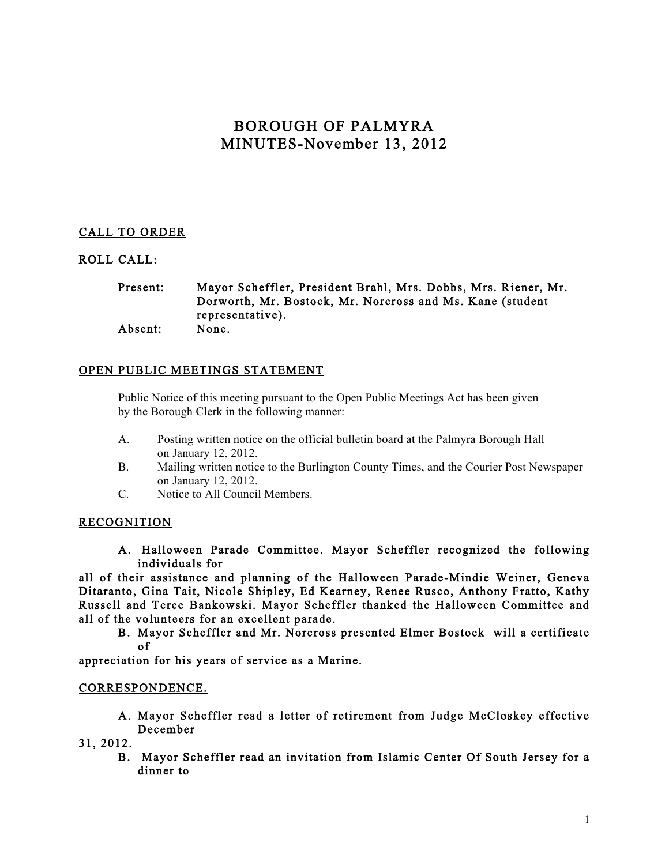# BOROUGH OF PALMYRA MINUTES-November 13, 2012

# CALL TO ORDER

## ROLL CALL:

#### Present: Mayor Scheffler, President Brahl, Mrs. Dobbs, Mrs. Riener, Mr. Dorworth, Mr. Bostock, Mr. Norcross and Ms. Kane (student representative). Absent: None.

## OPEN PUBLIC MEETINGS STATEMENT

Public Notice of this meeting pursuant to the Open Public Meetings Act has been given by the Borough Clerk in the following manner:

- A. Posting written notice on the official bulletin board at the Palmyra Borough Hall on January 12, 2012.
- B. Mailing written notice to the Burlington County Times, and the Courier Post Newspaper on January 12, 2012.
- C. Notice to All Council Members.

#### RECOGNITION

A. Halloween Parade Committee. Mayor Scheffler recognized the following individuals for

all of their assistance and planning of the Halloween Parade-Mindie Weiner, Geneva Ditaranto, Gina Tait, Nicole Shipley, Ed Kearney, Renee Rusco, Anthony Fratto, Kathy Russell and Teree Bankowski. Mayor Scheffler thanked the Halloween Committee and all of the volunteers for an excellent parade.

B. Mayor Scheffler and Mr. Norcross presented Elmer Bostock will a certificate of

appreciation for his years of service as a Marine.

#### CORRESPONDENCE.

- A. Mayor Scheffler read a letter of retirement from Judge McCloskey effective December
- 31, 2012.
	- B. Mayor Scheffler read an invitation from Islamic Center Of South Jersey for a dinner to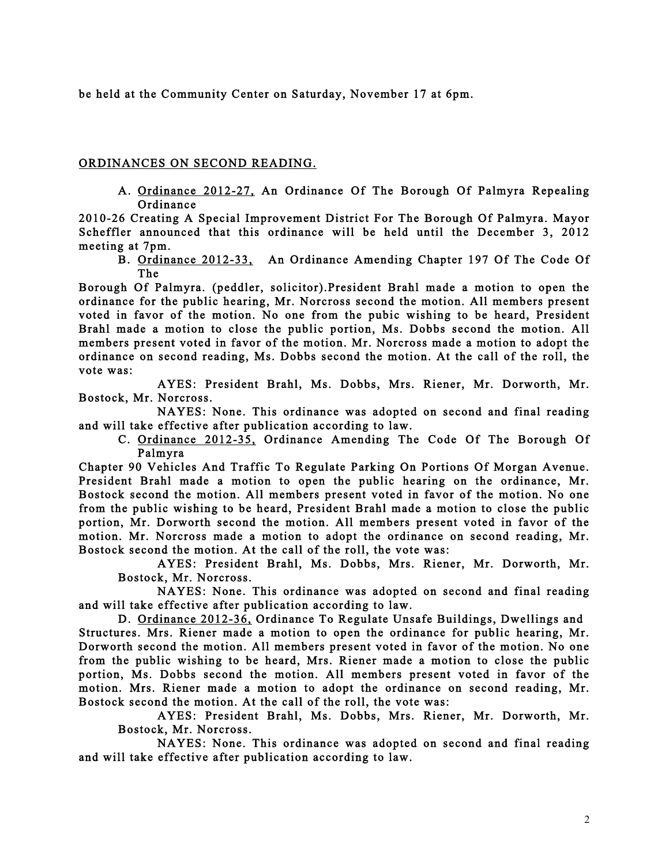be held at the Community Center on Saturday, November 17 at 6pm.

### ORDINANCES ON SECOND READING.

A. Ordinance 2012-27, An Ordinance Of The Borough Of Palmyra Repealing Ordinance

2010-26 Creating A Special Improvement District For The Borough Of Palmyra. Mayor Scheffler announced that this ordinance will be held until the December 3, 2012 meeting at 7pm.

B. Ordinance 2012-33, An Ordinance Amending Chapter 197 Of The Code Of The

Borough Of Palmyra. (peddler, solicitor).President Brahl made a motion to open the ordinance for the public hearing, Mr. Norcross second the motion. All members present voted in favor of the motion. No one from the pubic wishing to be heard, President Brahl made a motion to close the public portion, Ms. Dobbs second the motion. All members present voted in favor of the motion. Mr. Norcross made a motion to adopt the ordinance on second reading, Ms. Dobbs second the motion. At the call of the roll, the vote was:

 AYES: President Brahl, Ms. Dobbs, Mrs. Riener, Mr. Dorworth, Mr. Bostock, Mr. Norcross.

 NAYES: None. This ordinance was adopted on second and final reading and will take effective after publication according to law.

C. Ordinance 2012-35, Ordinance Amending The Code Of The Borough Of Palmyra

Chapter 90 Vehicles And Traffic To Regulate Parking On Portions Of Morgan Avenue. President Brahl made a motion to open the public hearing on the ordinance, Mr. Bostock second the motion. All members present voted in favor of the motion. No one from the public wishing to be heard, President Brahl made a motion to close the public portion, Mr. Dorworth second the motion. All members present voted in favor of the motion. Mr. Norcross made a motion to adopt the ordinance on second reading, Mr. Bostock second the motion. At the call of the roll, the vote was:

AYES: President Brahl, Ms. Dobbs, Mrs. Riener, Mr. Dorworth, Mr. Bostock, Mr. Norcross.

 NAYES: None. This ordinance was adopted on second and final reading and will take effective after publication according to law.

D. Ordinance 2012-36, Ordinance To Regulate Unsafe Buildings, Dwellings and Structures. Mrs. Riener made a motion to open the ordinance for public hearing, Mr. Dorworth second the motion. All members present voted in favor of the motion. No one from the public wishing to be heard, Mrs. Riener made a motion to close the public portion, Ms. Dobbs second the motion. All members present voted in favor of the motion. Mrs. Riener made a motion to adopt the ordinance on second reading, Mr. Bostock second the motion. At the call of the roll, the vote was:

AYES: President Brahl, Ms. Dobbs, Mrs. Riener, Mr. Dorworth, Mr. Bostock, Mr. Norcross.

 NAYES: None. This ordinance was adopted on second and final reading and will take effective after publication according to law.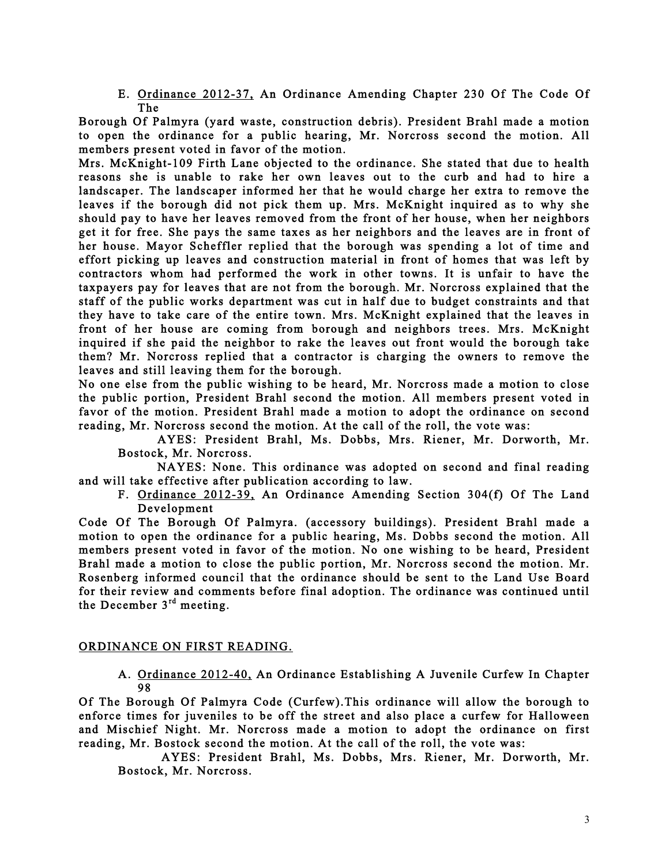E. Ordinance 2012-37, An Ordinance Amending Chapter 230 Of The Code Of The

Borough Of Palmyra (yard waste, construction debris). President Brahl made a motion to open the ordinance for a public hearing, Mr. Norcross second the motion. All members present voted in favor of the motion.

Mrs. McKnight-109 Firth Lane objected to the ordinance. She stated that due to health reasons she is unable to rake her own leaves out to the curb and had to hire a landscaper. The landscaper informed her that he would charge her extra to remove the leaves if the borough did not pick them up. Mrs. McKnight inquired as to why she should pay to have her leaves removed from the front of her house, when her neighbors get it for free. She pays the same taxes as her neighbors and the leaves are in front of her house. Mayor Scheffler replied that the borough was spending a lot of time and effort picking up leaves and construction material in front of homes that was left by contractors whom had performed the work in other towns. It is unfair to have the taxpayers pay for leaves that are not from the borough. Mr. Norcross explained that the staff of the public works department was cut in half due to budget constraints and that they have to take care of the entire town. Mrs. McKnight explained that the leaves in front of her house are coming from borough and neighbors trees. Mrs. McKnight inquired if she paid the neighbor to rake the leaves out front would the borough take them? Mr. Norcross replied that a contractor is charging the owners to remove the leaves and still leaving them for the borough.

No one else from the public wishing to be heard, Mr. Norcross made a motion to close the public portion, President Brahl second the motion. All members present voted in favor of the motion. President Brahl made a motion to adopt the ordinance on second reading, Mr. Norcross second the motion. At the call of the roll, the vote was:

AYES: President Brahl, Ms. Dobbs, Mrs. Riener, Mr. Dorworth, Mr. Bostock, Mr. Norcross.

 NAYES: None. This ordinance was adopted on second and final reading and will take effective after publication according to law.

F. Ordinance 2012-39, An Ordinance Amending Section 304(f) Of The Land Development

Code Of The Borough Of Palmyra. (accessory buildings). President Brahl made a motion to open the ordinance for a public hearing, Ms. Dobbs second the motion. All members present voted in favor of the motion. No one wishing to be heard, President Brahl made a motion to close the public portion, Mr. Norcross second the motion. Mr. Rosenberg informed council that the ordinance should be sent to the Land Use Board for their review and comments before final adoption. The ordinance was continued until the December  $3<sup>rd</sup>$  meeting.

#### ORDINANCE ON FIRST READING.

A. Ordinance 2012-40, An Ordinance Establishing A Juvenile Curfew In Chapter 98

Of The Borough Of Palmyra Code (Curfew).This ordinance will allow the borough to enforce times for juveniles to be off the street and also place a curfew for Halloween and Mischief Night. Mr. Norcross made a motion to adopt the ordinance on first reading, Mr. Bostock second the motion. At the call of the roll, the vote was:

 AYES: President Brahl, Ms. Dobbs, Mrs. Riener, Mr. Dorworth, Mr. Bostock, Mr. Norcross.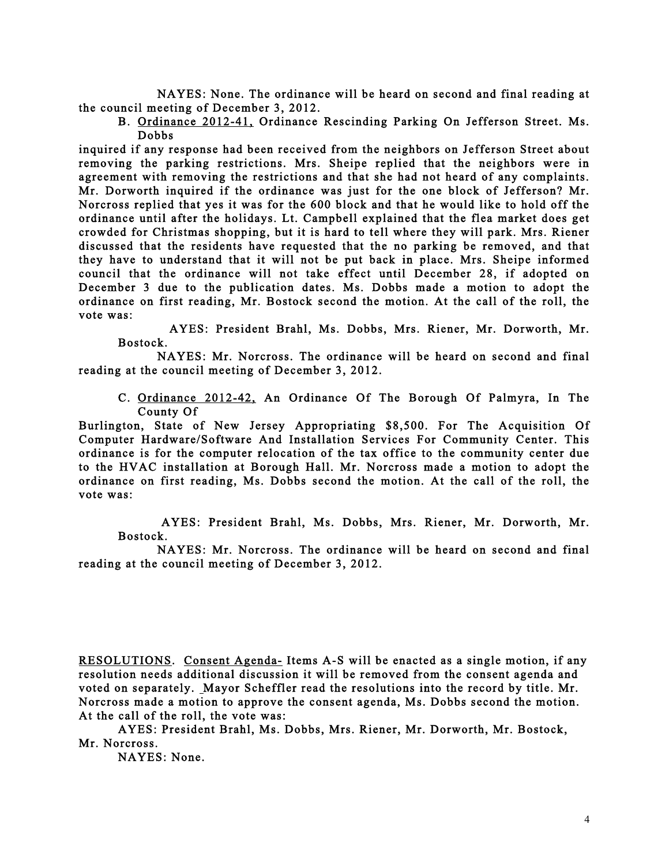NAYES: None. The ordinance will be heard on second and final reading at the council meeting of December 3, 2012.

B. Ordinance 2012-41, Ordinance Rescinding Parking On Jefferson Street. Ms. Dobbs

inquired if any response had been received from the neighbors on Jefferson Street about removing the parking restrictions. Mrs. Sheipe replied that the neighbors were in agreement with removing the restrictions and that she had not heard of any complaints. Mr. Dorworth inquired if the ordinance was just for the one block of Jefferson? Mr. Norcross replied that yes it was for the 600 block and that he would like to hold off the ordinance until after the holidays. Lt. Campbell explained that the flea market does get crowded for Christmas shopping, but it is hard to tell where they will park. Mrs. Riener discussed that the residents have requested that the no parking be removed, and that they have to understand that it will not be put back in place. Mrs. Sheipe informed council that the ordinance will not take effect until December 28, if adopted on December 3 due to the publication dates. Ms. Dobbs made a motion to adopt the ordinance on first reading, Mr. Bostock second the motion. At the call of the roll, the vote was:

 AYES: President Brahl, Ms. Dobbs, Mrs. Riener, Mr. Dorworth, Mr. Bostock.

 NAYES: Mr. Norcross. The ordinance will be heard on second and final reading at the council meeting of December 3, 2012.

C. Ordinance 2012-42, An Ordinance Of The Borough Of Palmyra, In The County Of

Burlington, State of New Jersey Appropriating \$8,500. For The Acquisition Of Computer Hardware/Software And Installation Services For Community Center. This ordinance is for the computer relocation of the tax office to the community center due to the HVAC installation at Borough Hall. Mr. Norcross made a motion to adopt the ordinance on first reading, Ms. Dobbs second the motion. At the call of the roll, the vote was:

 AYES: President Brahl, Ms. Dobbs, Mrs. Riener, Mr. Dorworth, Mr. Bostock.

 NAYES: Mr. Norcross. The ordinance will be heard on second and final reading at the council meeting of December 3, 2012.

RESOLUTIONS. Consent Agenda- Items A-S will be enacted as a single motion, if any resolution needs additional discussion it will be removed from the consent agenda and voted on separately. Mayor Scheffler read the resolutions into the record by title. Mr. Norcross made a motion to approve the consent agenda, Ms. Dobbs second the motion. At the call of the roll, the vote was:

 AYES: President Brahl, Ms. Dobbs, Mrs. Riener, Mr. Dorworth, Mr. Bostock, Mr. Norcross.

NAYES: None.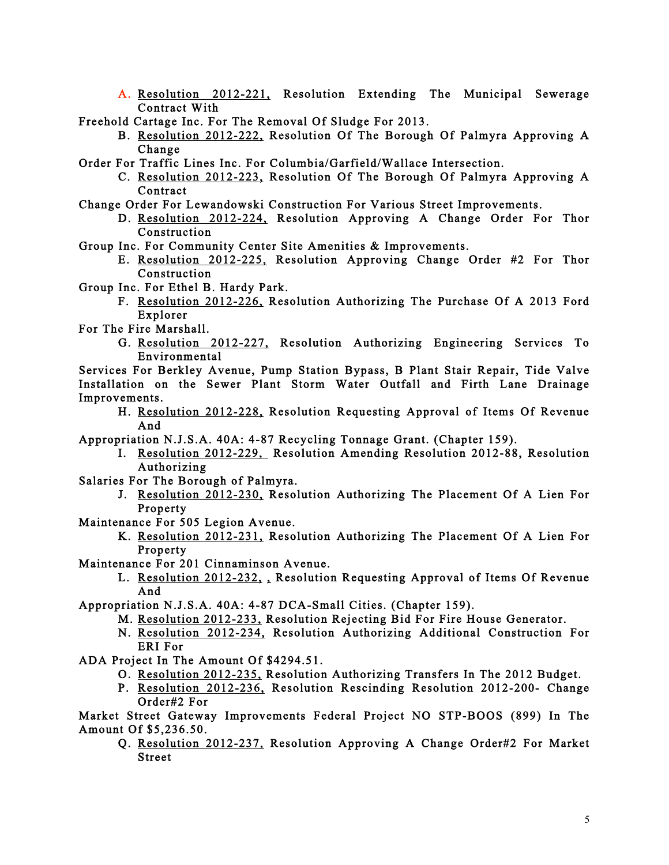A. Resolution 2012-221, Resolution Extending The Municipal Sewerage Contract With

Freehold Cartage Inc. For The Removal Of Sludge For 2013.

- B. Resolution 2012-222, Resolution Of The Borough Of Palmyra Approving A Change
- Order For Traffic Lines Inc. For Columbia/Garfield/Wallace Intersection.
	- C. Resolution 2012-223, Resolution Of The Borough Of Palmyra Approving A Contract
- Change Order For Lewandowski Construction For Various Street Improvements.
	- D. Resolution 2012-224, Resolution Approving A Change Order For Thor Construction
- Group Inc. For Community Center Site Amenities & Improvements.
	- E. Resolution 2012-225, Resolution Approving Change Order #2 For Thor Construction
- Group Inc. For Ethel B. Hardy Park.
	- F. Resolution 2012-226, Resolution Authorizing The Purchase Of A 2013 Ford Explorer
- For The Fire Marshall.
	- G. Resolution 2012-227, Resolution Authorizing Engineering Services To Environmental
- Services For Berkley Avenue, Pump Station Bypass, B Plant Stair Repair, Tide Valve Installation on the Sewer Plant Storm Water Outfall and Firth Lane Drainage Improvements.
	- H. Resolution 2012-228, Resolution Requesting Approval of Items Of Revenue And
- Appropriation N.J.S.A. 40A: 4-87 Recycling Tonnage Grant. (Chapter 159).
	- I. Resolution 2012-229, Resolution Amending Resolution 2012-88, Resolution Authorizing
- Salaries For The Borough of Palmyra.
	- J. Resolution 2012-230, Resolution Authorizing The Placement Of A Lien For Property
- Maintenance For 505 Legion Avenue.
	- K. Resolution 2012-231, Resolution Authorizing The Placement Of A Lien For Property
- Maintenance For 201 Cinnaminson Avenue.
	- L. Resolution 2012-232, , Resolution Requesting Approval of Items Of Revenue And
- Appropriation N.J.S.A. 40A: 4-87 DCA-Small Cities. (Chapter 159).
	- M. Resolution 2012-233, Resolution Rejecting Bid For Fire House Generator.
	- N. Resolution 2012-234, Resolution Authorizing Additional Construction For ERI For
- ADA Project In The Amount Of \$4294.51.
	- O. Resolution 2012-235, Resolution Authorizing Transfers In The 2012 Budget.
	- P. Resolution 2012-236, Resolution Rescinding Resolution 2012-200- Change Order#2 For

Market Street Gateway Improvements Federal Project NO STP-BOOS (899) In The Amount Of \$5,236.50.

Q. Resolution 2012-237, Resolution Approving A Change Order#2 For Market Street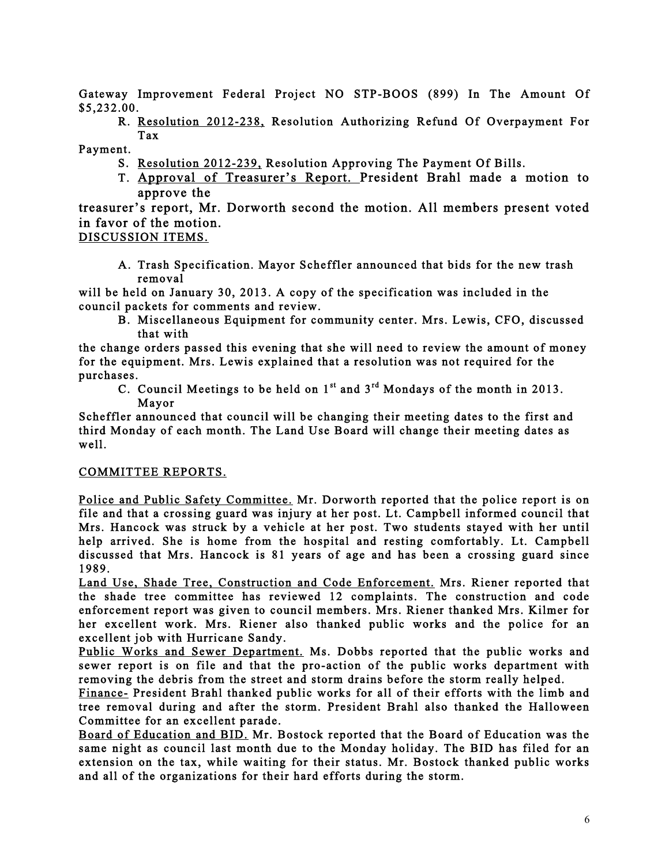Gateway Improvement Federal Project NO STP-BOOS (899) In The Amount Of \$5,232.00.

R. Resolution 2012-238, Resolution Authorizing Refund Of Overpayment For Tax

Payment.

- S. Resolution 2012-239, Resolution Approving The Payment Of Bills.
- T. Approval of Treasurer's Report. President Brahl made a motion to approve the

treasurer's report, Mr. Dorworth second the motion. All members present voted in favor of the motion.

DISCUSSION ITEMS.

A. Trash Specification. Mayor Scheffler announced that bids for the new trash removal

will be held on January 30, 2013. A copy of the specification was included in the council packets for comments and review.

B. Miscellaneous Equipment for community center. Mrs. Lewis, CFO, discussed that with

the change orders passed this evening that she will need to review the amount of money for the equipment. Mrs. Lewis explained that a resolution was not required for the purchases.

C. Council Meetings to be held on  $1^{st}$  and  $3^{rd}$  Mondays of the month in 2013. Mayor

Scheffler announced that council will be changing their meeting dates to the first and third Monday of each month. The Land Use Board will change their meeting dates as well.

#### COMMITTEE REPORTS.

Police and Public Safety Committee. Mr. Dorworth reported that the police report is on file and that a crossing guard was injury at her post. Lt. Campbell informed council that Mrs. Hancock was struck by a vehicle at her post. Two students stayed with her until help arrived. She is home from the hospital and resting comfortably. Lt. Campbell discussed that Mrs. Hancock is 81 years of age and has been a crossing guard since 1989.

Land Use, Shade Tree, Construction and Code Enforcement. Mrs. Riener reported that the shade tree committee has reviewed 12 complaints. The construction and code enforcement report was given to council members. Mrs. Riener thanked Mrs. Kilmer for her excellent work. Mrs. Riener also thanked public works and the police for an excellent job with Hurricane Sandy.

Public Works and Sewer Department. Ms. Dobbs reported that the public works and sewer report is on file and that the pro-action of the public works department with removing the debris from the street and storm drains before the storm really helped.

Finance- President Brahl thanked public works for all of their efforts with the limb and tree removal during and after the storm. President Brahl also thanked the Halloween Committee for an excellent parade.

Board of Education and BID. Mr. Bostock reported that the Board of Education was the same night as council last month due to the Monday holiday. The BID has filed for an extension on the tax, while waiting for their status. Mr. Bostock thanked public works and all of the organizations for their hard efforts during the storm.